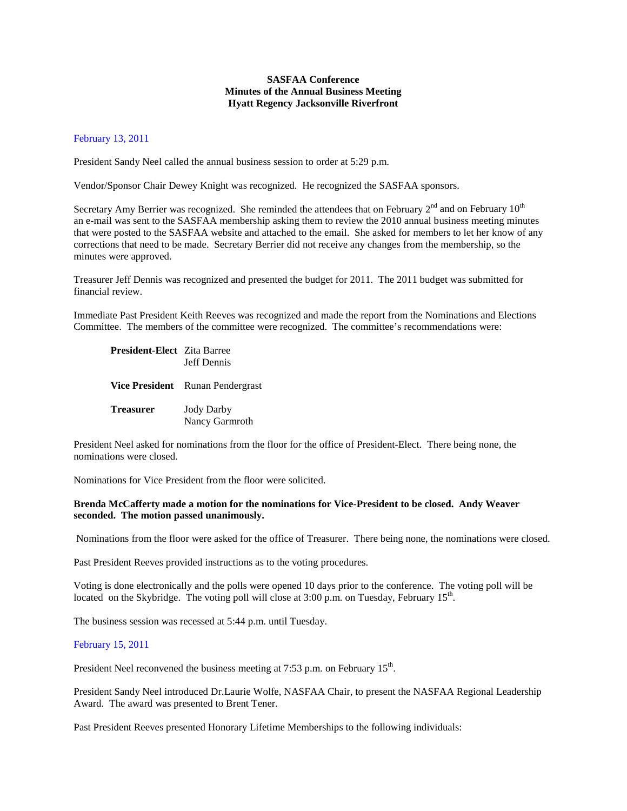## **SASFAA Conference Minutes of the Annual Business Meeting Hyatt Regency Jacksonville Riverfront**

## February 13, 2011

President Sandy Neel called the annual business session to order at 5:29 p.m.

Vendor/Sponsor Chair Dewey Knight was recognized. He recognized the SASFAA sponsors.

Secretary Amy Berrier was recognized. She reminded the attendees that on February  $2<sup>nd</sup>$  and on February  $10<sup>th</sup>$ an e-mail was sent to the SASFAA membership asking them to review the 2010 annual business meeting minutes that were posted to the SASFAA website and attached to the email. She asked for members to let her know of any corrections that need to be made. Secretary Berrier did not receive any changes from the membership, so the minutes were approved.

Treasurer Jeff Dennis was recognized and presented the budget for 2011. The 2011 budget was submitted for financial review.

Immediate Past President Keith Reeves was recognized and made the report from the Nominations and Elections Committee. The members of the committee were recognized. The committee's recommendations were:

**President-Elect** Zita Barree Jeff Dennis

**Vice President** Runan Pendergrast

**Treasurer** Jody Darby Nancy Garmroth

President Neel asked for nominations from the floor for the office of President-Elect. There being none, the nominations were closed.

Nominations for Vice President from the floor were solicited.

## **Brenda McCafferty made a motion for the nominations for Vice-President to be closed. Andy Weaver seconded. The motion passed unanimously.**

Nominations from the floor were asked for the office of Treasurer. There being none, the nominations were closed.

Past President Reeves provided instructions as to the voting procedures.

Voting is done electronically and the polls were opened 10 days prior to the conference. The voting poll will be located on the Skybridge. The voting poll will close at  $3:00$  p.m. on Tuesday, February  $15<sup>th</sup>$ .

The business session was recessed at 5:44 p.m. until Tuesday.

## February 15, 2011

President Neel reconvened the business meeting at 7:53 p.m. on February 15<sup>th</sup>.

President Sandy Neel introduced Dr.Laurie Wolfe, NASFAA Chair, to present the NASFAA Regional Leadership Award. The award was presented to Brent Tener.

Past President Reeves presented Honorary Lifetime Memberships to the following individuals: